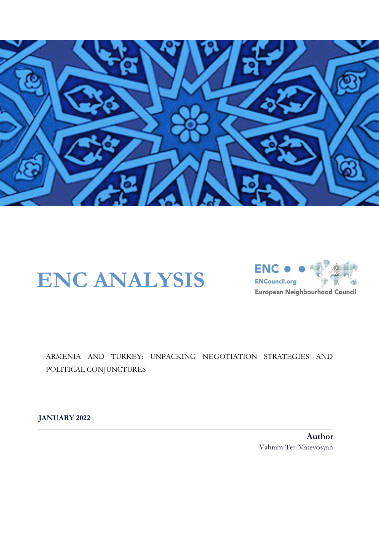

# **ENC ANALYSIS**



ARMENIA AND TURKEY: UNPACKING NEGOTIATION STRATEGIES AND POLITICAL CONJUNCTURES

**JANUARY 2022**

**Author** Vahram Ter-Matevosyan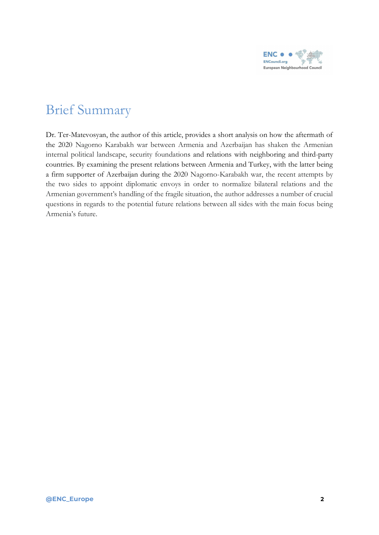

## Brief Summary

Dr. Ter-Matevosyan, the author of this article, provides a short analysis on how the aftermath of the 2020 Nagorno Karabakh war between Armenia and Azerbaijan has shaken the Armenian internal political landscape, security foundations and relations with neighboring and third-party countries. By examining the present relations between Armenia and Turkey, with the latter being a firm supporter of Azerbaijan during the 2020 Nagorno-Karabakh war, the recent attempts by the two sides to appoint diplomatic envoys in order to normalize bilateral relations and the Armenian government's handling of the fragile situation, the author addresses a number of crucial questions in regards to the potential future relations between all sides with the main focus being Armenia's future.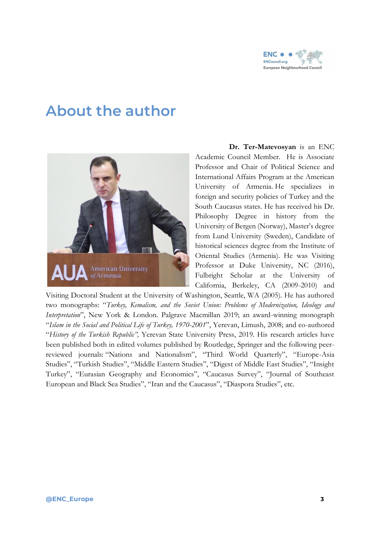

# **About the author**



**Dr. Ter-Matevosyan** is an ENC Academic Council Member. He is Associate Professor and Chair of Political Science and International Affairs Program at the American University of Armenia. He specializes in foreign and security policies of Turkey and the South Caucasus states. He has received his Dr. Philosophy Degree in history from the University of Bergen (Norway), Master's degree from Lund University (Sweden), Candidate of historical sciences degree from the Institute of Oriental Studies (Armenia). He was Visiting Professor at Duke University, NC (2016), Fulbright Scholar at the University of California, Berkeley, CA (2009-2010) and

Visiting Doctoral Student at the University of Washington, Seattle, WA (2005). He has authored two monographs: "*Turkey, Kemalism, and the Soviet Union: Problems of Modernization, Ideology and Interpretation*", New York & London. Palgrave Macmillan 2019; an award-winning monograph "*Islam in the Social and Political Life of Turkey, 1970-2001*", Yerevan, Limush, 2008; and co-authored "*History of the Turkish Republic",* Yerevan State University Press, 2019. His research articles have been published both in edited volumes published by Routledge, Springer and the following peerreviewed journals: "Nations and Nationalism", "Third World Quarterly", "Europe-Asia Studies", "Turkish Studies", "Middle Eastern Studies", "Digest of Middle East Studies", "Insight Turkey", "Eurasian Geography and Economics", "Caucasus Survey", "Journal of Southeast European and Black Sea Studies", "Iran and the Caucasus", "Diaspora Studies", etc.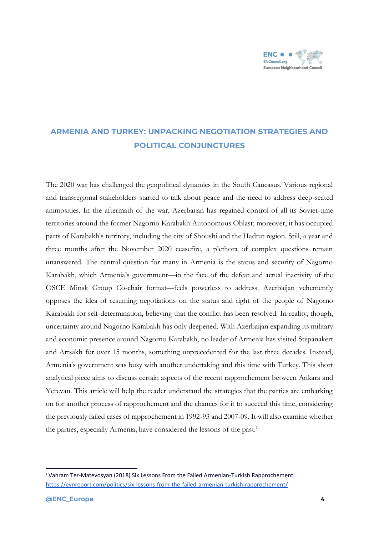

## **ARMENIA AND TURKEY: UNPACKING NEGOTIATION STRATEGIES AND POLITICAL CONJUNCTURES**

The 2020 war has challenged the geopolitical dynamics in the South Caucasus. Various regional and transregional stakeholders started to talk about peace and the need to address deep-seated animosities. In the aftermath of the war, Azerbaijan has regained control of all its Soviet-time territories around the former Nagorno Karabakh Autonomous Oblast; moreover, it has occupied parts of Karabakh's territory, including the city of Shoushi and the Hadrut region. Still, a year and three months after the November 2020 ceasefire, a plethora of complex questions remain unanswered. The central question for many in Armenia is the status and security of Nagorno Karabakh, which Armenia's government—in the face of the defeat and actual inactivity of the OSCE Minsk Group Co-chair format—feels powerless to address. Azerbaijan vehemently opposes the idea of resuming negotiations on the status and right of the people of Nagorno Karabakh for self-determination, believing that the conflict has been resolved. In reality, though, uncertainty around Nagorno Karabakh has only deepened. With Azerbaijan expanding its military and economic presence around Nagorno Karabakh, no leader of Armenia has visited Stepanakert and Artsakh for over 15 months, something unprecedented for the last three decades. Instead, Armenia's government was busy with another undertaking and this time with Turkey. This short analytical piece aims to discuss certain aspects of the recent rapprochement between Ankara and Yerevan. This article will help the reader understand the strategies that the parties are embarking on for another process of rapprochement and the chances for it to succeed this time, considering the previously failed cases of rapprochement in 1992-93 and 2007-09. It will also examine whether the parties, especially Armenia, have considered the lessons of the past.<sup>1</sup>

<sup>1</sup> Vahram Ter-Matevosyan (2018) Six Lessons From the Failed Armenian-Turkish Rapprochement <https://evnreport.com/politics/six-lessons-from-the-failed-armenian-turkish-rapprochement/>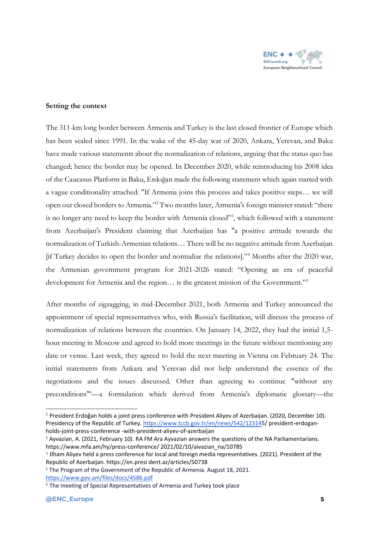

### **Setting the context**

The 311-km long border between Armenia and Turkey is the last closed frontier of Europe which has been sealed since 1991. In the wake of the 45-day war of 2020, Ankara, Yerevan, and Baku have made various statements about the normalization of relations, arguing that the status quo has changed; hence the border may be opened. In December 2020, while reintroducing his 2008 idea of the Caucasus Platform in Baku, Erdoğan made the following statement which again started with a vague conditionality attached: "If Armenia joins this process and takes positive steps… we will open our closed borders to Armenia."<sup>2</sup> Two months later, Armenia's foreign minister stated: "there is no longer any need to keep the border with Armenia closed"3, which followed with a statement from Azerbaijan's President claiming that Azerbaijan has "a positive attitude towards the normalization of Turkish-Armenian relations… There will be no negative attitude from Azerbaijan [if Turkey decides to open the border and normalize the relations]."<sup>4</sup> Months after the 2020 war, the Armenian government program for 2021-2026 stated: "Opening an era of peaceful development for Armenia and the region… is the greatest mission of the Government."<sup>5</sup>

After months of zigzagging, in mid-December 2021, both Armenia and Turkey announced the appointment of special representatives who, with Russia's facilitation, will discuss the process of normalization of relations between the countries. On January 14, 2022, they had the initial 1,5 hour meeting in Moscow and agreed to hold more meetings in the future without mentioning any date or venue. Last week, they agreed to hold the next meeting in Vienna on February 24. The initial statements from Ankara and Yerevan did not help understand the essence of the negotiations and the issues discussed. Other than agreeing to continue "without any preconditions"<sup>6</sup>—a formulation which derived from Armenia's diplomatic glossary—the

<sup>2</sup> President Erdoğan holds a joint press conference with President Aliyev of Azerbaijan. (2020, December 10). Presidency of the Republic of Turkey. [https://www.tccb.gov.tr/en/news/542/123145](https://www.tccb.gov.tr/en/news/542/12314)/ president-erdoganholds-joint-press-conference -with-president-aliyev-of-azerbaijan

<sup>3</sup> Ayvazian, A. (2021, February 10). RA FM Ara Ayvazian answers the questions of the NA Parliamentarians. https://www.mfa.am/hy/press-conference/ 2021/02/10/aivazian\_na/10785

<sup>4</sup> Ilham Aliyev held a press conference for local and foreign media representatives. (2021). President of the Republic of Azerbaijan. https://en.presi dent.az/articles/50738

<sup>&</sup>lt;sup>5</sup> The Program of the Government of the Republic of Armenia. August 18, 2021. <https://www.gov.am/files/docs/4586.pdf>

<sup>6</sup> The meeting of Special Representatives of Armenia and Turkey took place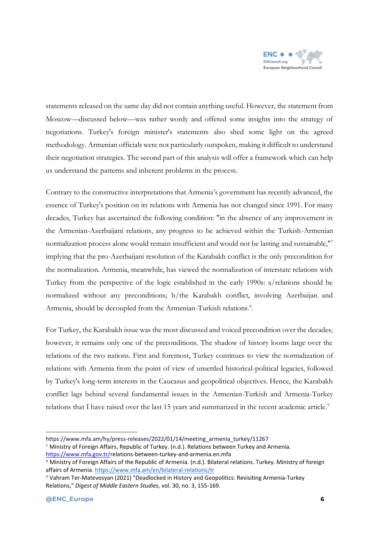

statements released on the same day did not contain anything useful. However, the statement from Moscow—discussed below—was rather wordy and offered some insights into the strategy of negotiations. Turkey's foreign minister's statements also shed some light on the agreed methodology. Armenian officials were not particularly outspoken, making it difficult to understand their negotiation strategies. The second part of this analysis will offer a framework which can help us understand the patterns and inherent problems in the process.

Contrary to the constructive interpretations that Armenia's government has recently advanced, the essence of Turkey's position on its relations with Armenia has not changed since 1991. For many decades, Turkey has ascertained the following condition: "in the absence of any improvement in the Armenian-Azerbaijani relations, any progress to be achieved within the Turkish-Armenian normalization process alone would remain insufficient and would not be lasting and sustainable,"<sup>7</sup> implying that the pro-Azerbaijani resolution of the Karabakh conflict is the only precondition for the normalization. Armenia, meanwhile, has viewed the normalization of interstate relations with Turkey from the perspective of the logic established in the early 1990s: a/relations should be normalized without any preconditions; b/the Karabakh conflict, involving Azerbaijan and Armenia, should be decoupled from the Armenian-Turkish relations.<sup>8</sup>.

For Turkey, the Karabakh issue was the most discussed and voiced precondition over the decades; however, it remains only one of the preconditions. The shadow of history looms large over the relations of the two nations. First and foremost, Turkey continues to view the normalization of relations with Armenia from the point of view of unsettled historical-political legacies, followed by Turkey's long-term interests in the Caucasus and geopolitical objectives. Hence, the Karabakh conflict lags behind several fundamental issues in the Armenian-Turkish and Armenia-Turkey relations that I have raised over the last 15 years and summarized in the recent academic article.<sup>9</sup>

https://www.mfa.am/hy/press-releases/2022/01/14/meeting\_armenia\_turkey/11267

<sup>7</sup> Ministry of Foreign Affairs, Republic of Turkey. (n.d.). Relations between Turkey and Armenia. [https://www.mfa.gov.tr/r](https://www.mfa.gov.tr/)elations-between-turkey-and-armenia.en.mfa

<sup>&</sup>lt;sup>8</sup> Ministry of Foreign Affairs of the Republic of Armenia. (n.d.). Bilateral relations. Turkey. Ministry of foreign affairs of Armenia[. https://www.mfa.am/en/bilateral-relations/tr](https://www.mfa.am/en/bilateral-relations/tr)

<sup>9</sup> Vahram Ter-Matevosyan (2021) "Deadlocked in History and Geopolitics: Revisiting Armenia-Turkey Relations," *Digest of Middle Eastern Studies,* vol. 30, no. 3, 155-169.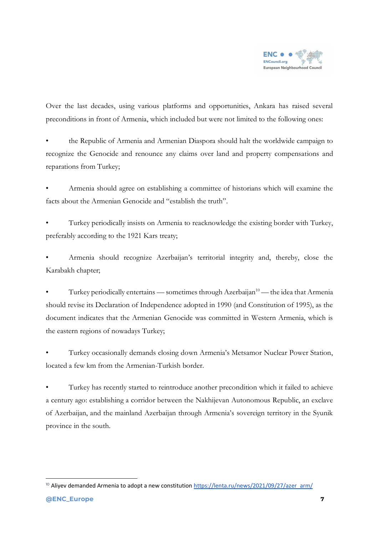

Over the last decades, using various platforms and opportunities, Ankara has raised several preconditions in front of Armenia, which included but were not limited to the following ones:

• the Republic of Armenia and Armenian Diaspora should halt the worldwide campaign to recognize the Genocide and renounce any claims over land and property compensations and reparations from Turkey;

• Armenia should agree on establishing a committee of historians which will examine the facts about the Armenian Genocide and "establish the truth".

• Turkey periodically insists on Armenia to reacknowledge the existing border with Turkey, preferably according to the 1921 Kars treaty;

• Armenia should recognize Azerbaijan's territorial integrity and, thereby, close the Karabakh chapter;

Turkey periodically entertains — sometimes through Azerbaijan<sup>10</sup> — the idea that Armenia should revise its Declaration of Independence adopted in 1990 (and Constitution of 1995), as the document indicates that the Armenian Genocide was committed in Western Armenia, which is the eastern regions of nowadays Turkey;

• Turkey occasionally demands closing down Armenia's Metsamor Nuclear Power Station, located a few km from the Armenian-Turkish border.

• Turkey has recently started to reintroduce another precondition which it failed to achieve a century ago: establishing a corridor between the Nakhijevan Autonomous Republic, an exclave of Azerbaijan, and the mainland Azerbaijan through Armenia's sovereign territory in the Syunik province in the south.

<sup>&</sup>lt;sup>10</sup> Aliyev demanded Armenia to adopt a new constitutio[n https://lenta.ru/news/2021/09/27/azer\\_arm/](https://lenta.ru/news/2021/09/27/azer_arm/)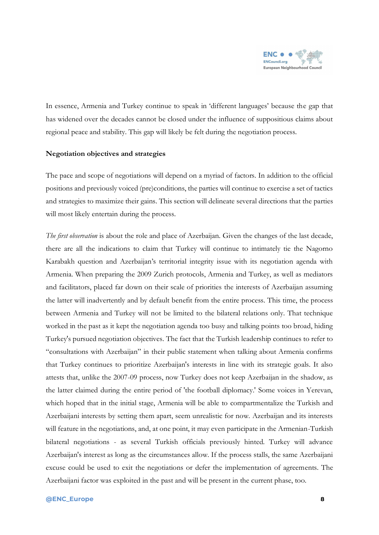

In essence, Armenia and Turkey continue to speak in 'different languages' because the gap that has widened over the decades cannot be closed under the influence of suppositious claims about regional peace and stability. This gap will likely be felt during the negotiation process.

#### **Negotiation objectives and strategies**

The pace and scope of negotiations will depend on a myriad of factors. In addition to the official positions and previously voiced (pre)conditions, the parties will continue to exercise a set of tactics and strategies to maximize their gains. This section will delineate several directions that the parties will most likely entertain during the process.

*The first observation* is about the role and place of Azerbaijan. Given the changes of the last decade, there are all the indications to claim that Turkey will continue to intimately tie the Nagorno Karabakh question and Azerbaijan's territorial integrity issue with its negotiation agenda with Armenia. When preparing the 2009 Zurich protocols, Armenia and Turkey, as well as mediators and facilitators, placed far down on their scale of priorities the interests of Azerbaijan assuming the latter will inadvertently and by default benefit from the entire process. This time, the process between Armenia and Turkey will not be limited to the bilateral relations only. That technique worked in the past as it kept the negotiation agenda too busy and talking points too broad, hiding Turkey's pursued negotiation objectives. The fact that the Turkish leadership continues to refer to "consultations with Azerbaijan" in their public statement when talking about Armenia confirms that Turkey continues to prioritize Azerbaijan's interests in line with its strategic goals. It also attests that, unlike the 2007-09 process, now Turkey does not keep Azerbaijan in the shadow, as the latter claimed during the entire period of 'the football diplomacy.' Some voices in Yerevan, which hoped that in the initial stage, Armenia will be able to compartmentalize the Turkish and Azerbaijani interests by setting them apart, seem unrealistic for now. Azerbaijan and its interests will feature in the negotiations, and, at one point, it may even participate in the Armenian-Turkish bilateral negotiations - as several Turkish officials previously hinted. Turkey will advance Azerbaijan's interest as long as the circumstances allow. If the process stalls, the same Azerbaijani excuse could be used to exit the negotiations or defer the implementation of agreements. The Azerbaijani factor was exploited in the past and will be present in the current phase, too.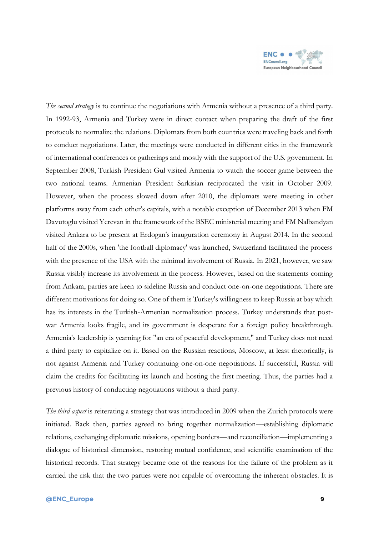

*The second strategy* is to continue the negotiations with Armenia without a presence of a third party. In 1992-93, Armenia and Turkey were in direct contact when preparing the draft of the first protocols to normalize the relations. Diplomats from both countries were traveling back and forth to conduct negotiations. Later, the meetings were conducted in different cities in the framework of international conferences or gatherings and mostly with the support of the U.S. government. In September 2008, Turkish President Gul visited Armenia to watch the soccer game between the two national teams. Armenian President Sarkisian reciprocated the visit in October 2009. However, when the process slowed down after 2010, the diplomats were meeting in other platforms away from each other's capitals, with a notable exception of December 2013 when FM Davutoglu visited Yerevan in the framework of the BSEC ministerial meeting and FM Nalbandyan visited Ankara to be present at Erdogan's inauguration ceremony in August 2014. In the second half of the 2000s, when 'the football diplomacy' was launched, Switzerland facilitated the process with the presence of the USA with the minimal involvement of Russia. In 2021, however, we saw Russia visibly increase its involvement in the process. However, based on the statements coming from Ankara, parties are keen to sideline Russia and conduct one-on-one negotiations. There are different motivations for doing so. One of them is Turkey's willingness to keep Russia at bay which has its interests in the Turkish-Armenian normalization process. Turkey understands that postwar Armenia looks fragile, and its government is desperate for a foreign policy breakthrough. Armenia's leadership is yearning for "an era of peaceful development," and Turkey does not need a third party to capitalize on it. Based on the Russian reactions, Moscow, at least rhetorically, is not against Armenia and Turkey continuing one-on-one negotiations. If successful, Russia will claim the credits for facilitating its launch and hosting the first meeting. Thus, the parties had a previous history of conducting negotiations without a third party.

*The third aspect* is reiterating a strategy that was introduced in 2009 when the Zurich protocols were initiated. Back then, parties agreed to bring together normalization—establishing diplomatic relations, exchanging diplomatic missions, opening borders—and reconciliation—implementing a dialogue of historical dimension, restoring mutual confidence, and scientific examination of the historical records. That strategy became one of the reasons for the failure of the problem as it carried the risk that the two parties were not capable of overcoming the inherent obstacles. It is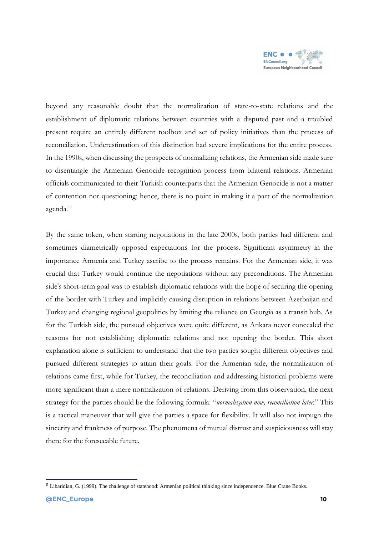

beyond any reasonable doubt that the normalization of state-to-state relations and the establishment of diplomatic relations between countries with a disputed past and a troubled present require an entirely different toolbox and set of policy initiatives than the process of reconciliation. Underestimation of this distinction had severe implications for the entire process. In the 1990s, when discussing the prospects of normalizing relations, the Armenian side made sure to disentangle the Armenian Genocide recognition process from bilateral relations. Armenian officials communicated to their Turkish counterparts that the Armenian Genocide is not a matter of contention nor questioning; hence, there is no point in making it a part of the normalization agenda.<sup>11</sup>

By the same token, when starting negotiations in the late 2000s, both parties had different and sometimes diametrically opposed expectations for the process. Significant asymmetry in the importance Armenia and Turkey ascribe to the process remains. For the Armenian side, it was crucial that Turkey would continue the negotiations without any preconditions. The Armenian side's short-term goal was to establish diplomatic relations with the hope of securing the opening of the border with Turkey and implicitly causing disruption in relations between Azerbaijan and Turkey and changing regional geopolitics by limiting the reliance on Georgia as a transit hub. As for the Turkish side, the pursued objectives were quite different, as Ankara never concealed the reasons for not establishing diplomatic relations and not opening the border. This short explanation alone is sufficient to understand that the two parties sought different objectives and pursued different strategies to attain their goals. For the Armenian side, the normalization of relations came first, while for Turkey, the reconciliation and addressing historical problems were more significant than a mere normalization of relations. Deriving from this observation, the next strategy for the parties should be the following formula: "*normalization now, reconciliation later.*" This is a tactical maneuver that will give the parties a space for flexibility. It will also not impugn the sincerity and frankness of purpose. The phenomena of mutual distrust and suspiciousness will stay there for the foreseeable future.

<sup>&</sup>lt;sup>11</sup> Libaridian, G. (1999). The challenge of statehood: Armenian political thinking since independence. Blue Crane Books.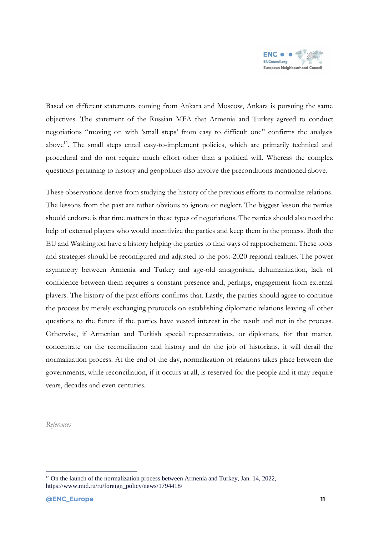

Based on different statements coming from Ankara and Moscow, Ankara is pursuing the same objectives. The statement of the Russian MFA that Armenia and Turkey agreed to conduct negotiations "moving on with 'small steps' from easy to difficult one" confirms the analysis above<sup>12</sup>. The small steps entail easy-to-implement policies, which are primarily technical and procedural and do not require much effort other than a political will. Whereas the complex questions pertaining to history and geopolitics also involve the preconditions mentioned above.

These observations derive from studying the history of the previous efforts to normalize relations. The lessons from the past are rather obvious to ignore or neglect. The biggest lesson the parties should endorse is that time matters in these types of negotiations. The parties should also need the help of external players who would incentivize the parties and keep them in the process. Both the EU and Washington have a history helping the parties to find ways of rapprochement. These tools and strategies should be reconfigured and adjusted to the post-2020 regional realities. The power asymmetry between Armenia and Turkey and age-old antagonism, dehumanization, lack of confidence between them requires a constant presence and, perhaps, engagement from external players. The history of the past efforts confirms that. Lastly, the parties should agree to continue the process by merely exchanging protocols on establishing diplomatic relations leaving all other questions to the future if the parties have vested interest in the result and not in the process. Otherwise, if Armenian and Turkish special representatives, or diplomats, for that matter, concentrate on the reconciliation and history and do the job of historians, it will derail the normalization process. At the end of the day, normalization of relations takes place between the governments, while reconciliation, if it occurs at all, is reserved for the people and it may require years, decades and even centuries.

*References*

<sup>&</sup>lt;sup>12</sup> On the launch of the normalization process between Armenia and Turkey, Jan. 14, 2022, https://www.mid.ru/ru/foreign\_policy/news/1794418/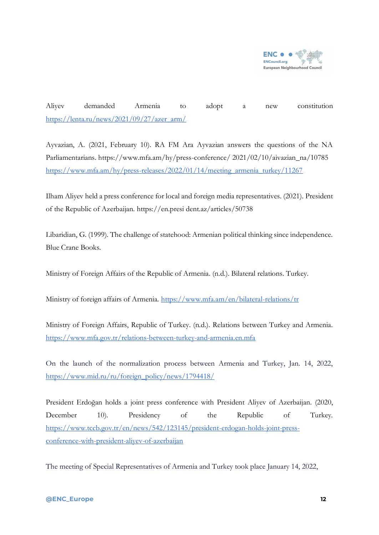

Aliyev demanded Armenia to adopt a new constitution [https://lenta.ru/news/2021/09/27/azer\\_arm/](https://lenta.ru/news/2021/09/27/azer_arm/)

Ayvazian, A. (2021, February 10). RA FM Ara Ayvazian answers the questions of the NA Parliamentarians. https://www.mfa.am/hy/press-conference/ 2021/02/10/aivazian\_na/10785 [https://www.mfa.am/hy/press-releases/2022/01/14/meeting\\_armenia\\_turkey/11267](https://www.mfa.am/hy/press-releases/2022/01/14/meeting_armenia_turkey/11267)

Ilham Aliyev held a press conference for local and foreign media representatives. (2021). President of the Republic of Azerbaijan. https://en.presi dent.az/articles/50738

Libaridian, G. (1999). The challenge of statehood: Armenian political thinking since independence. Blue Crane Books.

Ministry of Foreign Affairs of the Republic of Armenia. (n.d.). Bilateral relations. Turkey.

Ministry of foreign affairs of Armenia.<https://www.mfa.am/en/bilateral-relations/tr>

Ministry of Foreign Affairs, Republic of Turkey. (n.d.). Relations between Turkey and Armenia. [https://www.mfa.gov.tr/r](https://www.mfa.gov.tr/)elations-between-turkey-and-armenia.en.mfa

On the launch of the normalization process between Armenia and Turkey, Jan. 14, 2022, [https://www.mid.ru/ru/foreign\\_policy/news/1794418/](https://www.mid.ru/ru/foreign_policy/news/1794418/)

President Erdoğan holds a joint press conference with President Aliyev of Azerbaijan. (2020, December 10). Presidency of the Republic of Turkey. [https://www.tccb.gov.tr/en/news/542/123145/president-erdogan-holds-joint-press](https://www.tccb.gov.tr/en/news/542/123145/president-erdogan-holds-joint-press-conference-with-president-aliyev-of-azerbaijan)[conference-with-president-aliyev-of-azerbaijan](https://www.tccb.gov.tr/en/news/542/123145/president-erdogan-holds-joint-press-conference-with-president-aliyev-of-azerbaijan) 

The meeting of Special Representatives of Armenia and Turkey took place January 14, 2022,